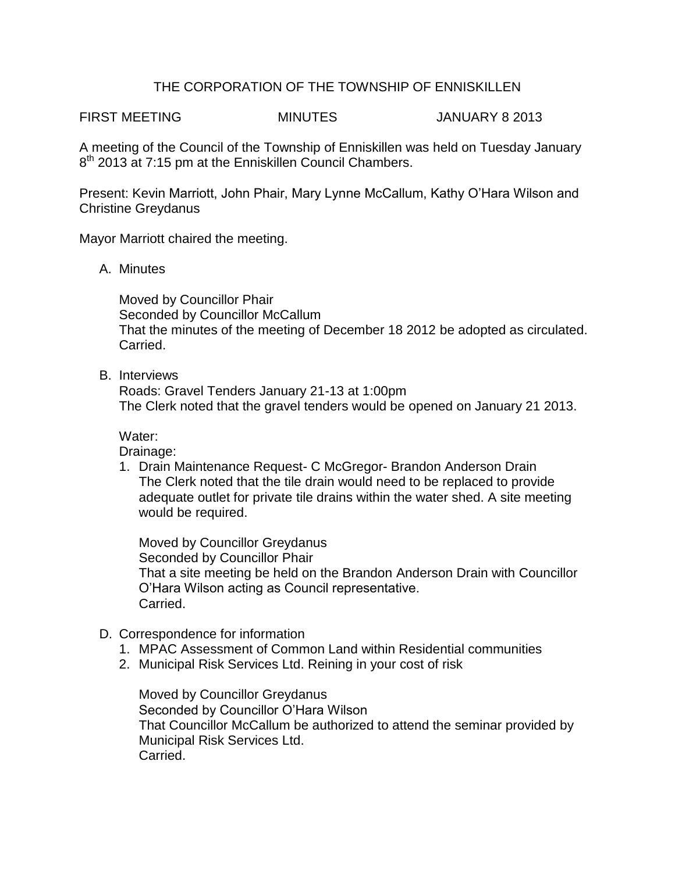## THE CORPORATION OF THE TOWNSHIP OF ENNISKILLEN

FIRST MEETING MINUTES JANUARY 8 2013

A meeting of the Council of the Township of Enniskillen was held on Tuesday January 8<sup>th</sup> 2013 at 7:15 pm at the Enniskillen Council Chambers.

Present: Kevin Marriott, John Phair, Mary Lynne McCallum, Kathy O'Hara Wilson and Christine Greydanus

Mayor Marriott chaired the meeting.

A. Minutes

Moved by Councillor Phair Seconded by Councillor McCallum That the minutes of the meeting of December 18 2012 be adopted as circulated. Carried.

B. Interviews

Roads: Gravel Tenders January 21-13 at 1:00pm The Clerk noted that the gravel tenders would be opened on January 21 2013.

Water:

Drainage:

1. Drain Maintenance Request- C McGregor- Brandon Anderson Drain The Clerk noted that the tile drain would need to be replaced to provide adequate outlet for private tile drains within the water shed. A site meeting would be required.

Moved by Councillor Greydanus Seconded by Councillor Phair That a site meeting be held on the Brandon Anderson Drain with Councillor O'Hara Wilson acting as Council representative. Carried.

- D. Correspondence for information
	- 1. MPAC Assessment of Common Land within Residential communities
	- 2. Municipal Risk Services Ltd. Reining in your cost of risk

Moved by Councillor Greydanus Seconded by Councillor O'Hara Wilson That Councillor McCallum be authorized to attend the seminar provided by Municipal Risk Services Ltd. Carried.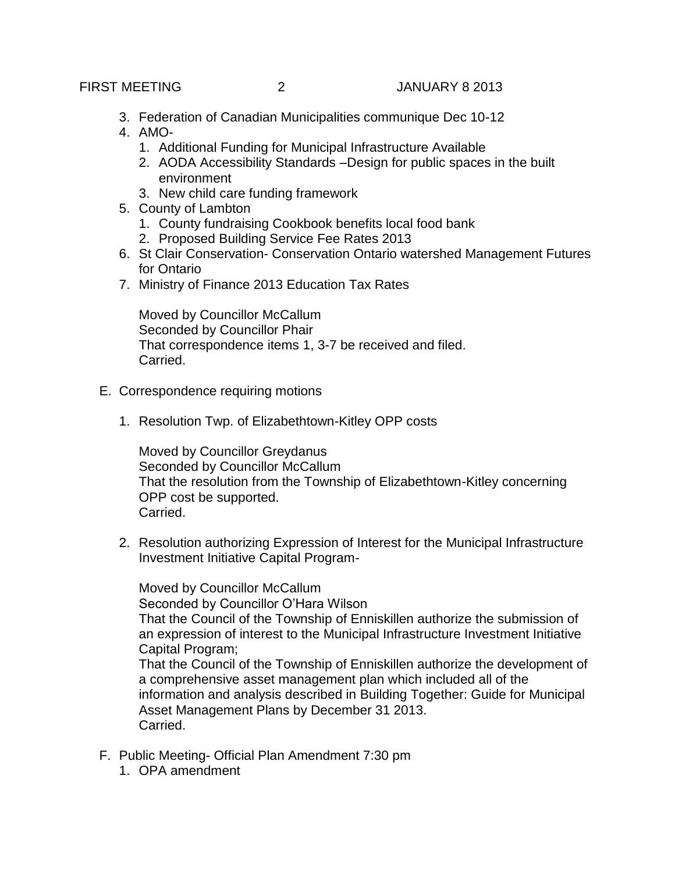- 3. Federation of Canadian Municipalities communique Dec 10-12
- 4. AMO-
	- 1. Additional Funding for Municipal Infrastructure Available
	- 2. AODA Accessibility Standards –Design for public spaces in the built environment
	- 3. New child care funding framework
- 5. County of Lambton
	- 1. County fundraising Cookbook benefits local food bank
	- 2. Proposed Building Service Fee Rates 2013
- 6. St Clair Conservation- Conservation Ontario watershed Management Futures for Ontario
- 7. Ministry of Finance 2013 Education Tax Rates

Moved by Councillor McCallum Seconded by Councillor Phair That correspondence items 1, 3-7 be received and filed. Carried.

- E. Correspondence requiring motions
	- 1. Resolution Twp. of Elizabethtown-Kitley OPP costs

Moved by Councillor Greydanus Seconded by Councillor McCallum That the resolution from the Township of Elizabethtown-Kitley concerning OPP cost be supported. Carried.

2. Resolution authorizing Expression of Interest for the Municipal Infrastructure Investment Initiative Capital Program-

Moved by Councillor McCallum Seconded by Councillor O'Hara Wilson That the Council of the Township of Enniskillen authorize the submission of an expression of interest to the Municipal Infrastructure Investment Initiative Capital Program; That the Council of the Township of Enniskillen authorize the development of a comprehensive asset management plan which included all of the information and analysis described in Building Together: Guide for Municipal Asset Management Plans by December 31 2013. Carried.

- F. Public Meeting- Official Plan Amendment 7:30 pm
	- 1. OPA amendment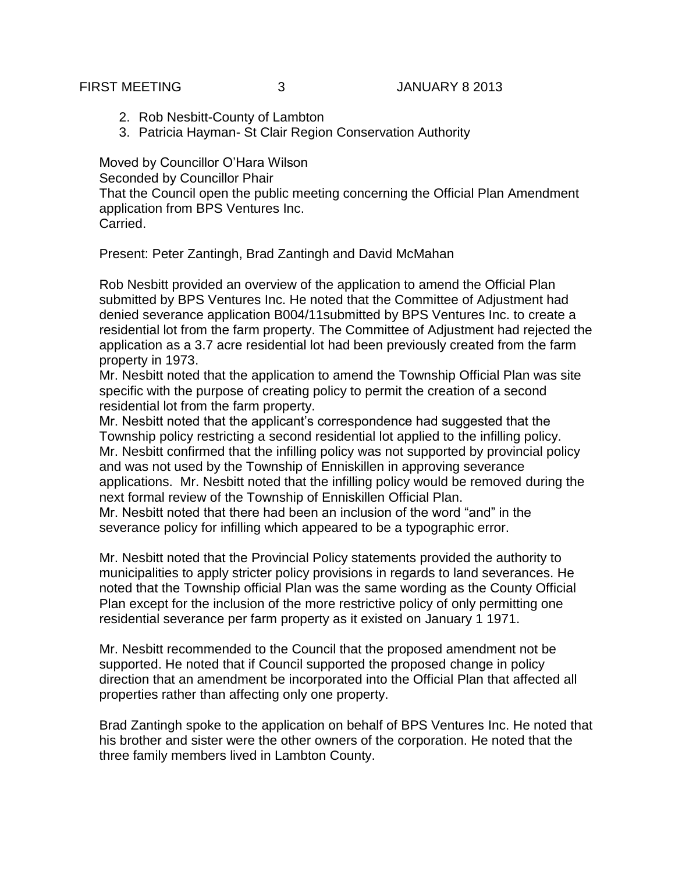- 2. Rob Nesbitt-County of Lambton
- 3. Patricia Hayman- St Clair Region Conservation Authority

Moved by Councillor O'Hara Wilson Seconded by Councillor Phair That the Council open the public meeting concerning the Official Plan Amendment application from BPS Ventures Inc. Carried.

Present: Peter Zantingh, Brad Zantingh and David McMahan

Rob Nesbitt provided an overview of the application to amend the Official Plan submitted by BPS Ventures Inc. He noted that the Committee of Adjustment had denied severance application B004/11submitted by BPS Ventures Inc. to create a residential lot from the farm property. The Committee of Adjustment had rejected the application as a 3.7 acre residential lot had been previously created from the farm property in 1973.

Mr. Nesbitt noted that the application to amend the Township Official Plan was site specific with the purpose of creating policy to permit the creation of a second residential lot from the farm property.

Mr. Nesbitt noted that the applicant's correspondence had suggested that the Township policy restricting a second residential lot applied to the infilling policy. Mr. Nesbitt confirmed that the infilling policy was not supported by provincial policy and was not used by the Township of Enniskillen in approving severance applications. Mr. Nesbitt noted that the infilling policy would be removed during the next formal review of the Township of Enniskillen Official Plan.

Mr. Nesbitt noted that there had been an inclusion of the word "and" in the severance policy for infilling which appeared to be a typographic error.

Mr. Nesbitt noted that the Provincial Policy statements provided the authority to municipalities to apply stricter policy provisions in regards to land severances. He noted that the Township official Plan was the same wording as the County Official Plan except for the inclusion of the more restrictive policy of only permitting one residential severance per farm property as it existed on January 1 1971.

Mr. Nesbitt recommended to the Council that the proposed amendment not be supported. He noted that if Council supported the proposed change in policy direction that an amendment be incorporated into the Official Plan that affected all properties rather than affecting only one property.

Brad Zantingh spoke to the application on behalf of BPS Ventures Inc. He noted that his brother and sister were the other owners of the corporation. He noted that the three family members lived in Lambton County.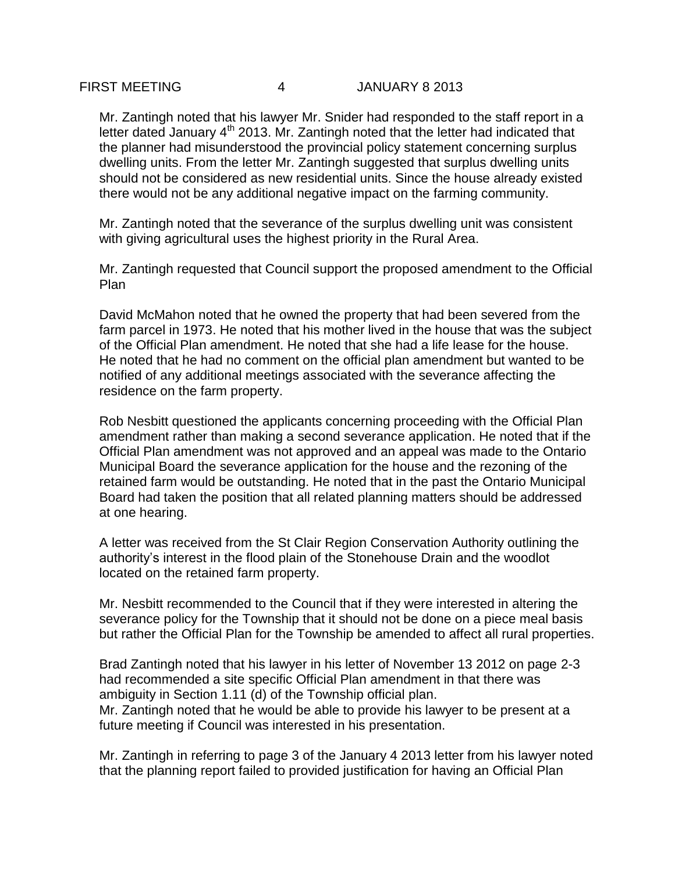Mr. Zantingh noted that his lawyer Mr. Snider had responded to the staff report in a letter dated January  $4<sup>th</sup>$  2013. Mr. Zantingh noted that the letter had indicated that the planner had misunderstood the provincial policy statement concerning surplus dwelling units. From the letter Mr. Zantingh suggested that surplus dwelling units should not be considered as new residential units. Since the house already existed there would not be any additional negative impact on the farming community.

Mr. Zantingh noted that the severance of the surplus dwelling unit was consistent with giving agricultural uses the highest priority in the Rural Area.

Mr. Zantingh requested that Council support the proposed amendment to the Official Plan

David McMahon noted that he owned the property that had been severed from the farm parcel in 1973. He noted that his mother lived in the house that was the subject of the Official Plan amendment. He noted that she had a life lease for the house. He noted that he had no comment on the official plan amendment but wanted to be notified of any additional meetings associated with the severance affecting the residence on the farm property.

Rob Nesbitt questioned the applicants concerning proceeding with the Official Plan amendment rather than making a second severance application. He noted that if the Official Plan amendment was not approved and an appeal was made to the Ontario Municipal Board the severance application for the house and the rezoning of the retained farm would be outstanding. He noted that in the past the Ontario Municipal Board had taken the position that all related planning matters should be addressed at one hearing.

A letter was received from the St Clair Region Conservation Authority outlining the authority's interest in the flood plain of the Stonehouse Drain and the woodlot located on the retained farm property.

Mr. Nesbitt recommended to the Council that if they were interested in altering the severance policy for the Township that it should not be done on a piece meal basis but rather the Official Plan for the Township be amended to affect all rural properties.

Brad Zantingh noted that his lawyer in his letter of November 13 2012 on page 2-3 had recommended a site specific Official Plan amendment in that there was ambiguity in Section 1.11 (d) of the Township official plan.

Mr. Zantingh noted that he would be able to provide his lawyer to be present at a future meeting if Council was interested in his presentation.

Mr. Zantingh in referring to page 3 of the January 4 2013 letter from his lawyer noted that the planning report failed to provided justification for having an Official Plan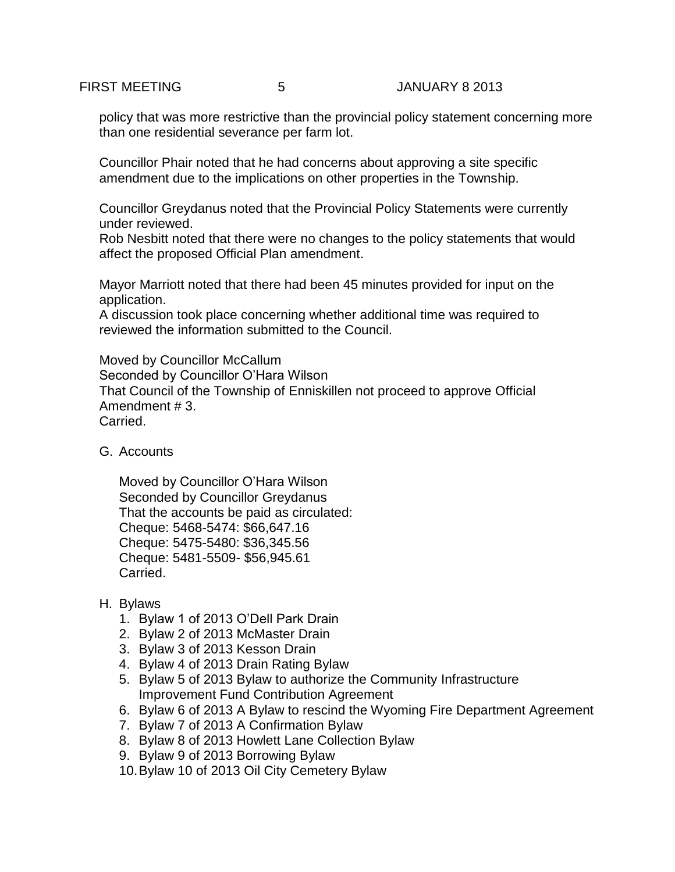policy that was more restrictive than the provincial policy statement concerning more than one residential severance per farm lot.

Councillor Phair noted that he had concerns about approving a site specific amendment due to the implications on other properties in the Township.

Councillor Greydanus noted that the Provincial Policy Statements were currently under reviewed.

Rob Nesbitt noted that there were no changes to the policy statements that would affect the proposed Official Plan amendment.

Mayor Marriott noted that there had been 45 minutes provided for input on the application.

A discussion took place concerning whether additional time was required to reviewed the information submitted to the Council.

Moved by Councillor McCallum Seconded by Councillor O'Hara Wilson That Council of the Township of Enniskillen not proceed to approve Official Amendment # 3. Carried.

G. Accounts

Moved by Councillor O'Hara Wilson Seconded by Councillor Greydanus That the accounts be paid as circulated: Cheque: 5468-5474: \$66,647.16 Cheque: 5475-5480: \$36,345.56 Cheque: 5481-5509- \$56,945.61 Carried.

- H. Bylaws
	- 1. Bylaw 1 of 2013 O'Dell Park Drain
	- 2. Bylaw 2 of 2013 McMaster Drain
	- 3. Bylaw 3 of 2013 Kesson Drain
	- 4. Bylaw 4 of 2013 Drain Rating Bylaw
	- 5. Bylaw 5 of 2013 Bylaw to authorize the Community Infrastructure Improvement Fund Contribution Agreement
	- 6. Bylaw 6 of 2013 A Bylaw to rescind the Wyoming Fire Department Agreement
	- 7. Bylaw 7 of 2013 A Confirmation Bylaw
	- 8. Bylaw 8 of 2013 Howlett Lane Collection Bylaw
	- 9. Bylaw 9 of 2013 Borrowing Bylaw
	- 10.Bylaw 10 of 2013 Oil City Cemetery Bylaw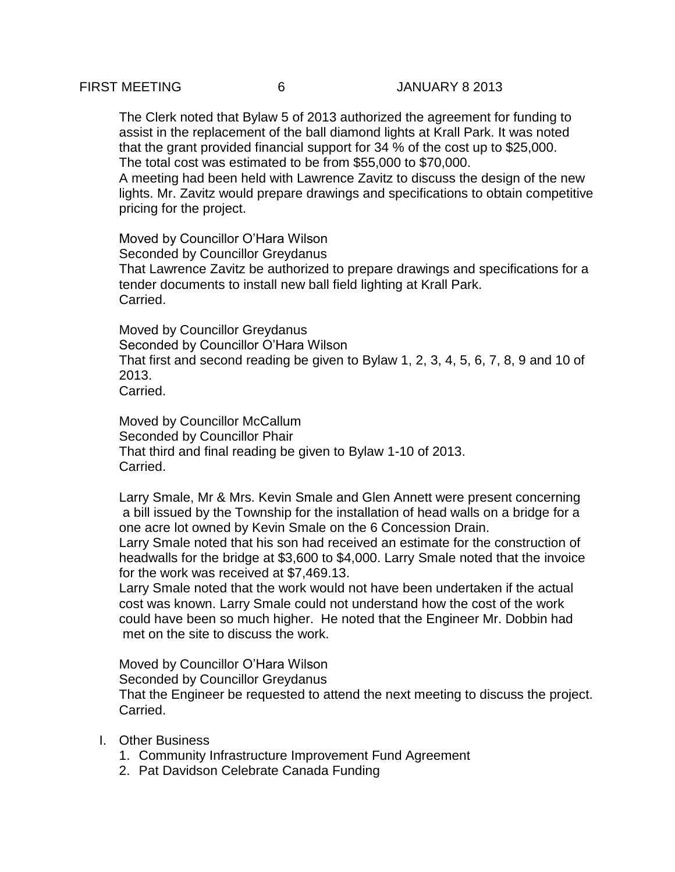The Clerk noted that Bylaw 5 of 2013 authorized the agreement for funding to assist in the replacement of the ball diamond lights at Krall Park. It was noted that the grant provided financial support for 34 % of the cost up to \$25,000. The total cost was estimated to be from \$55,000 to \$70,000.

A meeting had been held with Lawrence Zavitz to discuss the design of the new lights. Mr. Zavitz would prepare drawings and specifications to obtain competitive pricing for the project.

Moved by Councillor O'Hara Wilson Seconded by Councillor Greydanus That Lawrence Zavitz be authorized to prepare drawings and specifications for a tender documents to install new ball field lighting at Krall Park. Carried.

Moved by Councillor Greydanus Seconded by Councillor O'Hara Wilson That first and second reading be given to Bylaw 1, 2, 3, 4, 5, 6, 7, 8, 9 and 10 of 2013. Carried.

Moved by Councillor McCallum Seconded by Councillor Phair That third and final reading be given to Bylaw 1-10 of 2013. Carried.

Larry Smale, Mr & Mrs. Kevin Smale and Glen Annett were present concerning a bill issued by the Township for the installation of head walls on a bridge for a one acre lot owned by Kevin Smale on the 6 Concession Drain.

Larry Smale noted that his son had received an estimate for the construction of headwalls for the bridge at \$3,600 to \$4,000. Larry Smale noted that the invoice for the work was received at \$7,469.13.

Larry Smale noted that the work would not have been undertaken if the actual cost was known. Larry Smale could not understand how the cost of the work could have been so much higher. He noted that the Engineer Mr. Dobbin had met on the site to discuss the work.

Moved by Councillor O'Hara Wilson

Seconded by Councillor Greydanus

That the Engineer be requested to attend the next meeting to discuss the project. Carried.

- I. Other Business
	- 1. Community Infrastructure Improvement Fund Agreement
	- 2. Pat Davidson Celebrate Canada Funding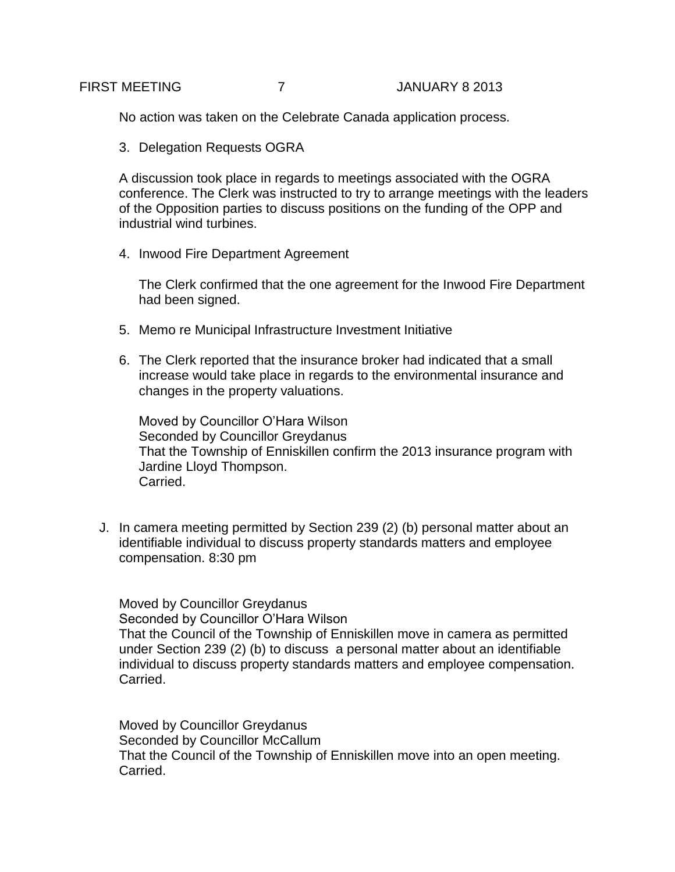No action was taken on the Celebrate Canada application process.

3. Delegation Requests OGRA

A discussion took place in regards to meetings associated with the OGRA conference. The Clerk was instructed to try to arrange meetings with the leaders of the Opposition parties to discuss positions on the funding of the OPP and industrial wind turbines.

4. Inwood Fire Department Agreement

The Clerk confirmed that the one agreement for the Inwood Fire Department had been signed.

- 5. Memo re Municipal Infrastructure Investment Initiative
- 6. The Clerk reported that the insurance broker had indicated that a small increase would take place in regards to the environmental insurance and changes in the property valuations.

Moved by Councillor O'Hara Wilson Seconded by Councillor Greydanus That the Township of Enniskillen confirm the 2013 insurance program with Jardine Lloyd Thompson. Carried.

J. In camera meeting permitted by Section 239 (2) (b) personal matter about an identifiable individual to discuss property standards matters and employee compensation. 8:30 pm

Moved by Councillor Greydanus Seconded by Councillor O'Hara Wilson That the Council of the Township of Enniskillen move in camera as permitted under Section 239 (2) (b) to discuss a personal matter about an identifiable individual to discuss property standards matters and employee compensation. Carried.

Moved by Councillor Greydanus Seconded by Councillor McCallum That the Council of the Township of Enniskillen move into an open meeting. Carried.